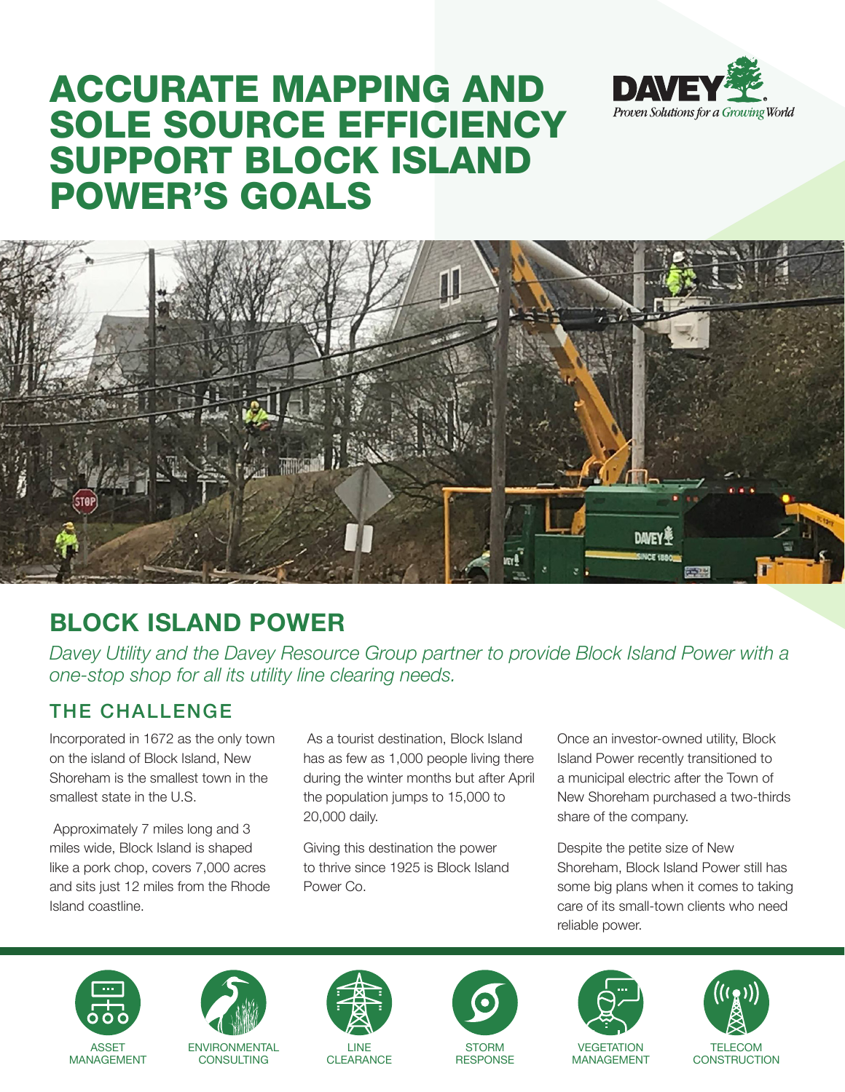# ACCURATE MAPPING AND SOLE SOURCE EFFICIENCY SUPPORT BLOCK ISLAND POWER'S GOALS





# **BLOCK ISLAND POWER**

*Davey Utility and the Davey Resource Group partner to provide Block Island Power with a one-stop shop for all its utility line clearing needs.*

## THE CHALLENGE

Incorporated in 1672 as the only town on the island of Block Island, New Shoreham is the smallest town in the smallest state in the U.S.

 Approximately 7 miles long and 3 miles wide, Block Island is shaped like a pork chop, covers 7,000 acres and sits just 12 miles from the Rhode Island coastline.

 As a tourist destination, Block Island has as few as 1,000 people living there during the winter months but after April the population jumps to 15,000 to 20,000 daily.

Giving this destination the power to thrive since 1925 is Block Island Power Co.

Once an investor-owned utility, Block Island Power recently transitioned to a municipal electric after the Town of New Shoreham purchased a two-thirds share of the company.

Despite the petite size of New Shoreham, Block Island Power still has some big plans when it comes to taking care of its small-town clients who need reliable power.